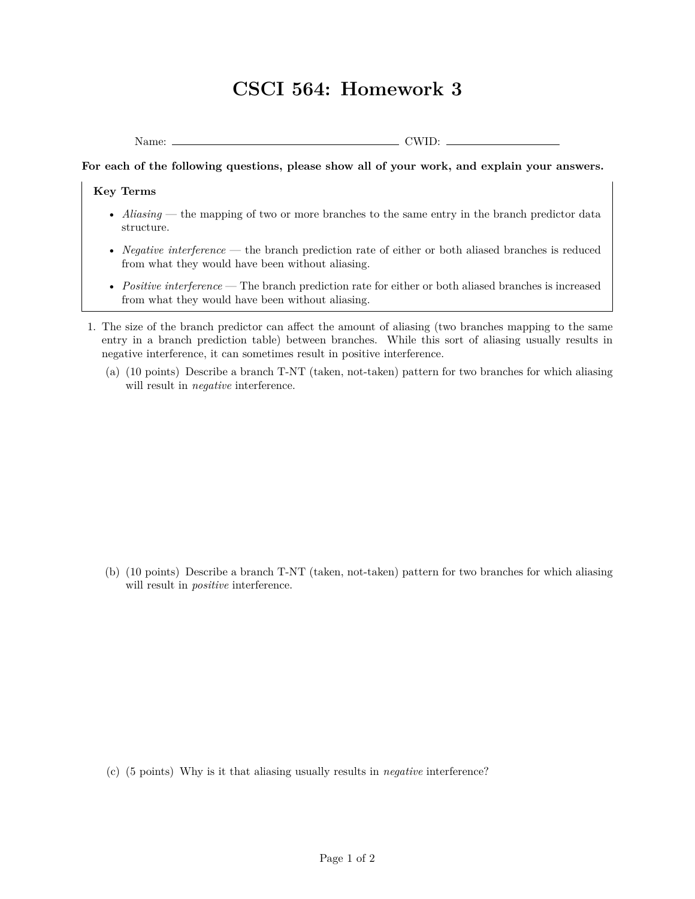## **CSCI 564: Homework 3**

Name: CWID:

**For each of the following questions, please show all of your work, and explain your answers.**

## **Key Terms**

- *Aliasing* the mapping of two or more branches to the same entry in the branch predictor data structure.
- *Negative interference* the branch prediction rate of either or both aliased branches is reduced from what they would have been without aliasing.
- *Positive interference* The branch prediction rate for either or both aliased branches is increased from what they would have been without aliasing.
- 1. The size of the branch predictor can affect the amount of aliasing (two branches mapping to the same entry in a branch prediction table) between branches. While this sort of aliasing usually results in negative interference, it can sometimes result in positive interference.
	- (a) (10 points) Describe a branch T-NT (taken, not-taken) pattern for two branches for which aliasing will result in *negative* interference.

(b) (10 points) Describe a branch T-NT (taken, not-taken) pattern for two branches for which aliasing will result in *positive* interference.

(c) (5 points) Why is it that aliasing usually results in *negative* interference?